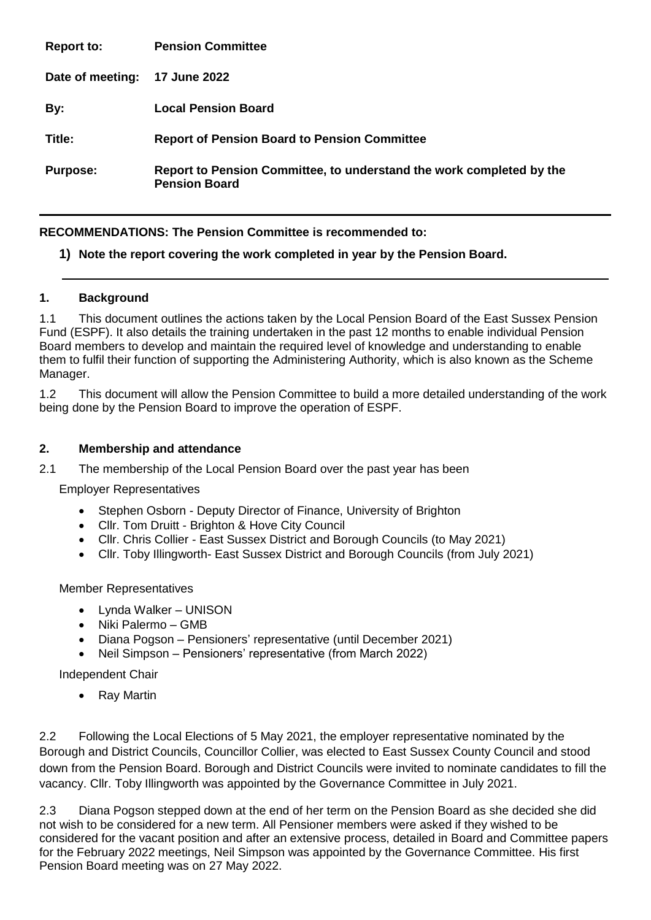| <b>Report to:</b> | <b>Pension Committee</b>                                                                     |
|-------------------|----------------------------------------------------------------------------------------------|
| Date of meeting:  | 17 June 2022                                                                                 |
| By:               | <b>Local Pension Board</b>                                                                   |
| Title:            | <b>Report of Pension Board to Pension Committee</b>                                          |
| <b>Purpose:</b>   | Report to Pension Committee, to understand the work completed by the<br><b>Pension Board</b> |

# **RECOMMENDATIONS: The Pension Committee is recommended to:**

## **1) Note the report covering the work completed in year by the Pension Board.**

### **1. Background**

1.1 This document outlines the actions taken by the Local Pension Board of the East Sussex Pension Fund (ESPF). It also details the training undertaken in the past 12 months to enable individual Pension Board members to develop and maintain the required level of knowledge and understanding to enable them to fulfil their function of supporting the Administering Authority, which is also known as the Scheme Manager.

1.2 This document will allow the Pension Committee to build a more detailed understanding of the work being done by the Pension Board to improve the operation of ESPF.

#### **2. Membership and attendance**

2.1 The membership of the Local Pension Board over the past year has been

Employer Representatives

- Stephen Osborn Deputy Director of Finance, University of Brighton
- Cllr. Tom Druitt Brighton & Hove City Council
- Cllr. Chris Collier East Sussex District and Borough Councils (to May 2021)
- Cllr. Toby Illingworth- East Sussex District and Borough Councils (from July 2021)

### Member Representatives

- Lynda Walker UNISON
- Niki Palermo GMB
- Diana Pogson Pensioners' representative (until December 2021)
- Neil Simpson Pensioners' representative (from March 2022)

Independent Chair

• Ray Martin

2.2 Following the Local Elections of 5 May 2021, the employer representative nominated by the Borough and District Councils, Councillor Collier, was elected to East Sussex County Council and stood down from the Pension Board. Borough and District Councils were invited to nominate candidates to fill the vacancy. Cllr. Toby Illingworth was appointed by the Governance Committee in July 2021.

2.3 Diana Pogson stepped down at the end of her term on the Pension Board as she decided she did not wish to be considered for a new term. All Pensioner members were asked if they wished to be considered for the vacant position and after an extensive process, detailed in Board and Committee papers for the February 2022 meetings, Neil Simpson was appointed by the Governance Committee. His first Pension Board meeting was on 27 May 2022.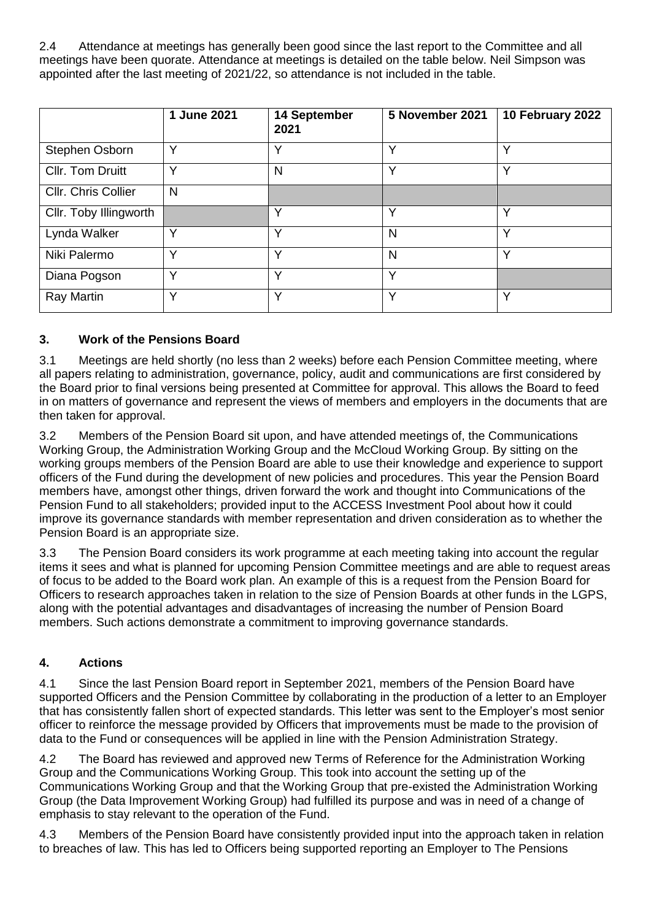2.4 Attendance at meetings has generally been good since the last report to the Committee and all meetings have been quorate. Attendance at meetings is detailed on the table below. Neil Simpson was appointed after the last meeting of 2021/22, so attendance is not included in the table.

|                        | 1 June 2021  | 14 September<br>2021 | 5 November 2021 | 10 February 2022 |
|------------------------|--------------|----------------------|-----------------|------------------|
| Stephen Osborn         | Υ            | v                    | ٧               | ∨                |
| Cllr. Tom Druitt       | v            | N                    | Υ               | v                |
| Cllr. Chris Collier    | N            |                      |                 |                  |
| Cllr. Toby Illingworth |              | $\checkmark$         | Y               | $\checkmark$     |
| Lynda Walker           | $\checkmark$ | v                    | N               | v                |
| Niki Palermo           | v            | $\checkmark$         | N               | $\checkmark$     |
| Diana Pogson           | $\checkmark$ | $\checkmark$         | Υ               |                  |
| Ray Martin             | $\checkmark$ | $\checkmark$         | $\checkmark$    | $\checkmark$     |

## **3. Work of the Pensions Board**

3.1 Meetings are held shortly (no less than 2 weeks) before each Pension Committee meeting, where all papers relating to administration, governance, policy, audit and communications are first considered by the Board prior to final versions being presented at Committee for approval. This allows the Board to feed in on matters of governance and represent the views of members and employers in the documents that are then taken for approval.

3.2 Members of the Pension Board sit upon, and have attended meetings of, the Communications Working Group, the Administration Working Group and the McCloud Working Group. By sitting on the working groups members of the Pension Board are able to use their knowledge and experience to support officers of the Fund during the development of new policies and procedures. This year the Pension Board members have, amongst other things, driven forward the work and thought into Communications of the Pension Fund to all stakeholders; provided input to the ACCESS Investment Pool about how it could improve its governance standards with member representation and driven consideration as to whether the Pension Board is an appropriate size.

3.3 The Pension Board considers its work programme at each meeting taking into account the regular items it sees and what is planned for upcoming Pension Committee meetings and are able to request areas of focus to be added to the Board work plan. An example of this is a request from the Pension Board for Officers to research approaches taken in relation to the size of Pension Boards at other funds in the LGPS, along with the potential advantages and disadvantages of increasing the number of Pension Board members. Such actions demonstrate a commitment to improving governance standards.

# **4. Actions**

4.1 Since the last Pension Board report in September 2021, members of the Pension Board have supported Officers and the Pension Committee by collaborating in the production of a letter to an Employer that has consistently fallen short of expected standards. This letter was sent to the Employer's most senior officer to reinforce the message provided by Officers that improvements must be made to the provision of data to the Fund or consequences will be applied in line with the Pension Administration Strategy.

4.2 The Board has reviewed and approved new Terms of Reference for the Administration Working Group and the Communications Working Group. This took into account the setting up of the Communications Working Group and that the Working Group that pre-existed the Administration Working Group (the Data Improvement Working Group) had fulfilled its purpose and was in need of a change of emphasis to stay relevant to the operation of the Fund.

4.3 Members of the Pension Board have consistently provided input into the approach taken in relation to breaches of law. This has led to Officers being supported reporting an Employer to The Pensions